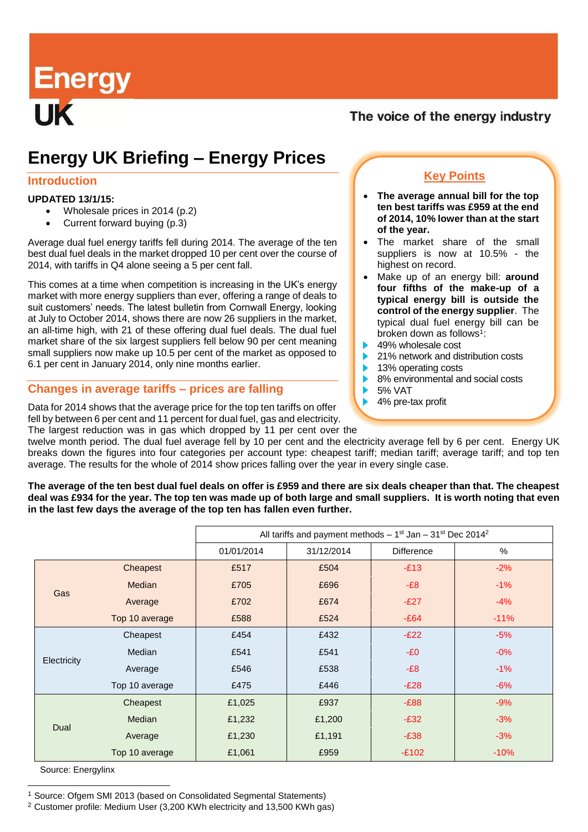Energy<br>UK

### The voice of the energy industry

# **Energy UK Briefing – Energy Prices**

#### **Introduction**

#### **UPDATED 13/1/15:**

- Wholesale prices in 2014 (p.2)
- Current forward buying (p.3)

Average dual fuel energy tariffs fell during 2014. The average of the ten best dual fuel deals in the market dropped 10 per cent over the course of 2014, with tariffs in Q4 alone seeing a 5 per cent fall.

This comes at a time when competition is increasing in the UK's energy market with more energy suppliers than ever, offering a range of deals to suit customers' needs. The latest bulletin from Cornwall Energy, looking at July to October 2014, shows there are now 26 suppliers in the market, an all-time high, with 21 of these offering dual fuel deals. The dual fuel market share of the six largest suppliers fell below 90 per cent meaning small suppliers now make up 10.5 per cent of the market as opposed to 6.1 per cent in January 2014, only nine months earlier.

#### **Changes in average tariffs – prices are falling**

Data for 2014 shows that the average price for the top ten tariffs on offer fell by between 6 per cent and 11 percent for dual fuel, gas and electricity.

# The largest reduction was in gas which dropped by 11 per cent over the twelve month period. The dual fuel average fell by 10 per cent and the electricity average fell by 6 per cent. Energy UK

breaks down the figures into four categories per account type: cheapest tariff; median tariff; average tariff; and top ten average. The results for the whole of 2014 show prices falling over the year in every single case.

#### **The average of the ten best dual fuel deals on offer is £959 and there are six deals cheaper than that. The cheapest deal was £934 for the year. The top ten was made up of both large and small suppliers. It is worth noting that even in the last few days the average of the top ten has fallen even further.<sup>1</sup>**

|             |                | All tariffs and payment methods $-1st$ Jan $-31st$ Dec 2014 <sup>2</sup> |            |                   |        |  |
|-------------|----------------|--------------------------------------------------------------------------|------------|-------------------|--------|--|
|             |                | 01/01/2014                                                               | 31/12/2014 | <b>Difference</b> | $\%$   |  |
| Gas         | Cheapest       | £517                                                                     | £504       | $-E13$            | $-2%$  |  |
|             | Median         | £705                                                                     | £696       | $-E8$             | $-1%$  |  |
|             | Average        | £702                                                                     | £674       | $-E27$            | $-4%$  |  |
|             | Top 10 average | £588                                                                     | £524       | $-E64$            | $-11%$ |  |
| Electricity | Cheapest       | £454                                                                     | £432       | $-E22$            | $-5%$  |  |
|             | Median         | £541                                                                     | £541       | $-E0$             | $-0\%$ |  |
|             | Average        | £546                                                                     | £538       | $-E8$             | $-1%$  |  |
|             | Top 10 average | £475                                                                     | £446       | $-E28$            | $-6%$  |  |
| Dual        | Cheapest       | £1,025                                                                   | £937       | $-E88$            | $-9%$  |  |
|             | Median         | £1,232                                                                   | £1,200     | $-E32$            | $-3%$  |  |
|             | Average        | £1,230                                                                   | £1,191     | $-E38$            | $-3%$  |  |
|             | Top 10 average | £1,061                                                                   | £959       | $-E102$           | $-10%$ |  |

Source: Energylinx

l

## **Key Points**

- **The average annual bill for the top ten best tariffs was £959 at the end of 2014, 10% lower than at the start of the year.**
- The market share of the small suppliers is now at 10.5% - the highest on record.
- Make up of an energy bill: **around four fifths of the make-up of a typical energy bill is outside the control of the energy supplier**. The typical dual fuel energy bill can be broken down as follows<sup>1</sup>:
- 49% wholesale cost
- 21% network and distribution costs
- 13% operating costs
- 8% environmental and social costs
- 5% VAT
- 4% pre-tax profit

<sup>1</sup> Source: Ofgem SMI 2013 (based on Consolidated Segmental Statements)

<sup>2</sup> Customer profile: Medium User (3,200 KWh electricity and 13,500 KWh gas)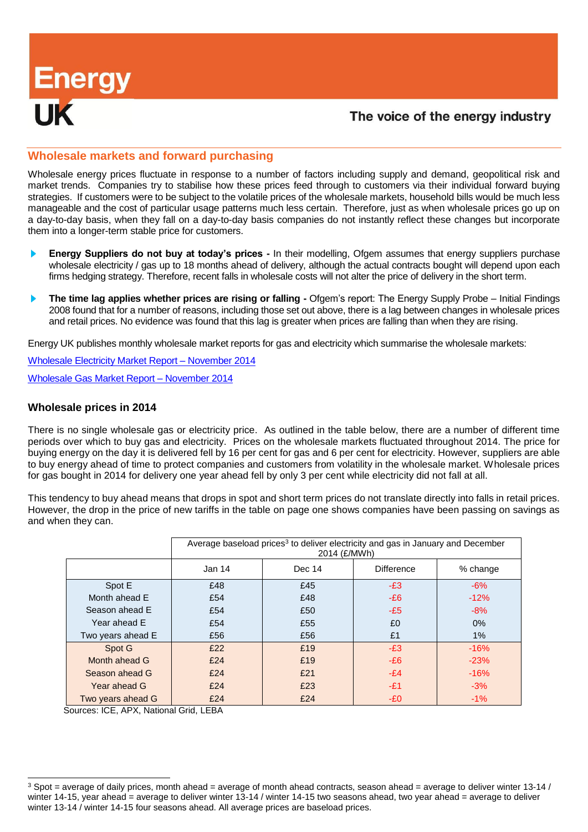# Energy<br>**III**:

# The voice of the energy industry

#### **Wholesale markets and forward purchasing**

Wholesale energy prices fluctuate in response to a number of factors including supply and demand, geopolitical risk and market trends. Companies try to stabilise how these prices feed through to customers via their individual forward buying strategies. If customers were to be subject to the volatile prices of the wholesale markets, household bills would be much less manageable and the cost of particular usage patterns much less certain. Therefore, just as when wholesale prices go up on a day-to-day basis, when they fall on a day-to-day basis companies do not instantly reflect these changes but incorporate them into a longer-term stable price for customers.

- **Energy Suppliers do not buy at today's prices -** In their modelling, Ofgem assumes that energy suppliers purchase wholesale electricity / gas up to 18 months ahead of delivery, although the actual contracts bought will depend upon each firms hedging strategy. Therefore, recent falls in wholesale costs will not alter the price of delivery in the short term.
- **The time lag applies whether prices are rising or falling -** Ofgem's report: The Energy Supply Probe Initial Findings 2008 found that for a number of reasons, including those set out above, there is a lag between changes in wholesale prices and retail prices. No evidence was found that this lag is greater when prices are falling than when they are rising.

Energy UK publishes monthly wholesale market reports for gas and electricity which summarise the wholesale markets:

[Wholesale Electricity](http://www.energy-uk.org.uk/publication.html?task=file.download&id=4921) Market Report – November 2014 [Wholesale Gas Market Report –](http://www.energy-uk.org.uk/publication.html?task=file.download&id=4922) November 2014

#### **Wholesale prices in 2014**

There is no single wholesale gas or electricity price. As outlined in the table below, there are a number of different time periods over which to buy gas and electricity. Prices on the wholesale markets fluctuated throughout 2014. The price for buying energy on the day it is delivered fell by 16 per cent for gas and 6 per cent for electricity. However, suppliers are able to buy energy ahead of time to protect companies and customers from volatility in the wholesale market. Wholesale prices for gas bought in 2014 for delivery one year ahead fell by only 3 per cent while electricity did not fall at all.

This tendency to buy ahead means that drops in spot and short term prices do not translate directly into falls in retail prices. However, the drop in the price of new tariffs in the table on page one shows companies have been passing on savings as and when they can.

|                   | Average baseload prices <sup>3</sup> to deliver electricity and gas in January and December<br>2014 (£/MWh) |        |                   |          |  |  |
|-------------------|-------------------------------------------------------------------------------------------------------------|--------|-------------------|----------|--|--|
|                   | Jan 14                                                                                                      | Dec 14 | <b>Difference</b> | % change |  |  |
| Spot E            | £48                                                                                                         | £45    | $-E3$             | $-6%$    |  |  |
| Month ahead E     | £54                                                                                                         | £48    | $-E6$             | $-12%$   |  |  |
| Season ahead E    | £54                                                                                                         | £50    | $-E5$             | $-8%$    |  |  |
| Year ahead E      | £54                                                                                                         | £55    | £0                | 0%       |  |  |
| Two years ahead E | £56                                                                                                         | £56    | £1                | 1%       |  |  |
| Spot G            | £22                                                                                                         | £19    | $-E3$             | $-16%$   |  |  |
| Month ahead G     | £24                                                                                                         | £19    | $-E6$             | $-23%$   |  |  |
| Season ahead G    | £24                                                                                                         | £21    | $-E4$             | $-16%$   |  |  |
| Year ahead G      | £24                                                                                                         | £23    | -£1               | $-3%$    |  |  |
| Two years ahead G | £24                                                                                                         | £24    | -£0               | $-1%$    |  |  |

Sources: ICE, APX, National Grid, LEBA

l

 $3$  Spot = average of daily prices, month ahead = average of month ahead contracts, season ahead = average to deliver winter 13-14 / winter 14-15, year ahead = average to deliver winter 13-14 / winter 14-15 two seasons ahead, two year ahead = average to deliver winter 13-14 / winter 14-15 four seasons ahead. All average prices are baseload prices.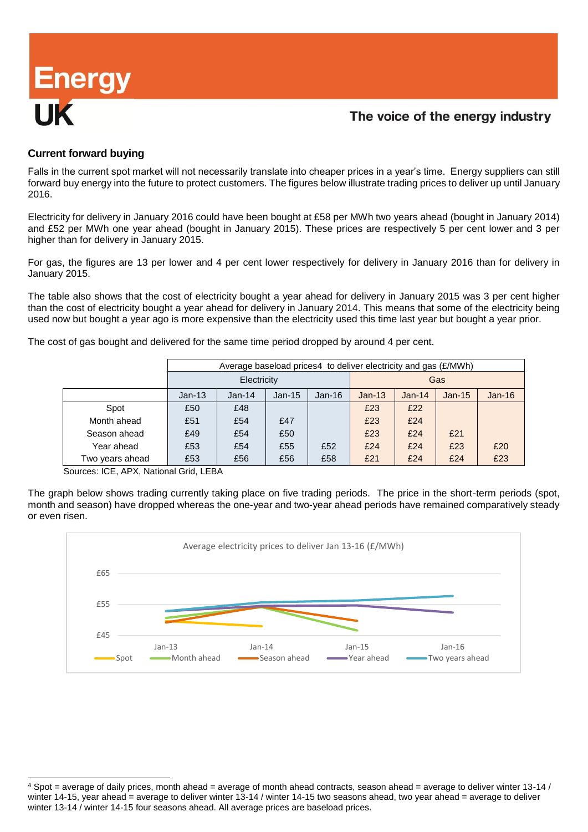# **Energy**

# The voice of the energy industry

#### **Current forward buying**

Falls in the current spot market will not necessarily translate into cheaper prices in a year's time. Energy suppliers can still forward buy energy into the future to protect customers. The figures below illustrate trading prices to deliver up until January 2016.

Electricity for delivery in January 2016 could have been bought at £58 per MWh two years ahead (bought in January 2014) and £52 per MWh one year ahead (bought in January 2015). These prices are respectively 5 per cent lower and 3 per higher than for delivery in January 2015.

For gas, the figures are 13 per lower and 4 per cent lower respectively for delivery in January 2016 than for delivery in January 2015.

The table also shows that the cost of electricity bought a year ahead for delivery in January 2015 was 3 per cent higher than the cost of electricity bought a year ahead for delivery in January 2014. This means that some of the electricity being used now but bought a year ago is more expensive than the electricity used this time last year but bought a year prior.

The cost of gas bought and delivered for the same time period dropped by around 4 per cent.

|                 | Average baseload prices4 to deliver electricity and gas (£/MWh) |          |          |          |          |          |          |          |
|-----------------|-----------------------------------------------------------------|----------|----------|----------|----------|----------|----------|----------|
|                 | Electricity                                                     |          |          |          | Gas      |          |          |          |
|                 | $Jan-13$                                                        | $Jan-14$ | $Jan-15$ | $Jan-16$ | $Jan-13$ | $Jan-14$ | $Jan-15$ | $Jan-16$ |
| Spot            | £50                                                             | £48      |          |          | £23      | £22      |          |          |
| Month ahead     | £51                                                             | £54      | £47      |          | £23      | £24      |          |          |
| Season ahead    | £49                                                             | £54      | £50      |          | £23      | £24      | £21      |          |
| Year ahead      | £53                                                             | £54      | £55      | £52      | £24      | £24      | £23      | £20      |
| Two years ahead | £53                                                             | £56      | £56      | £58      | £21      | £24      | £24      | £23      |

Sources: ICE, APX, National Grid, LEBA

l

The graph below shows trading currently taking place on five trading periods. The price in the short-term periods (spot, month and season) have dropped whereas the one-year and two-year ahead periods have remained comparatively steady or even risen.



 $4$  Spot = average of daily prices, month ahead = average of month ahead contracts, season ahead = average to deliver winter 13-14 / winter 14-15, year ahead = average to deliver winter 13-14 / winter 14-15 two seasons ahead, two year ahead = average to deliver winter 13-14 / winter 14-15 four seasons ahead. All average prices are baseload prices.